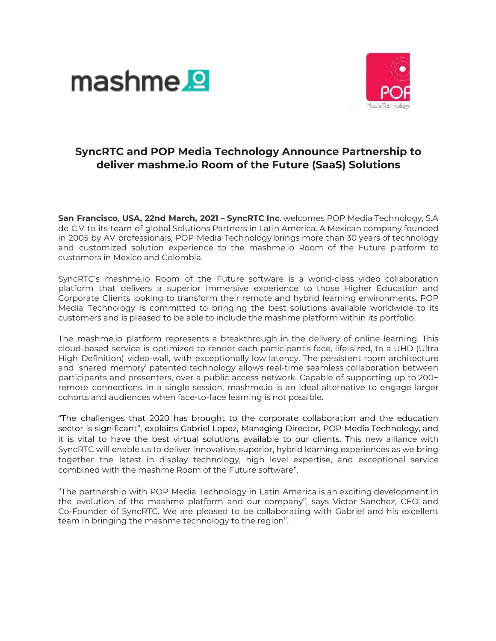



# **SyncRTC and POP Media Technology Announce Partnership to deliver mashme.io Room of the Future (SaaS) Solutions**

**San Francisco**, **USA, 22nd March, 2021 – SyncRTC Inc**. welcomes POP Media Technology, S.A de C.V to its team of global Solutions Partners in Latin America. A Mexican company founded in 2005 by AV professionals, POP Media Technology brings more than 30 years of technology and customized solution experience to the mashme.io Room of the Future platform to customers in Mexico and Colombia.

SyncRTC's mashme.io Room of the Future software is a world-class video collaboration platform that delivers a superior immersive experience to those Higher Education and Corporate Clients looking to transform their remote and hybrid learning environments. POP Media Technology is committed to bringing the best solutions available worldwide to its customers and is pleased to be able to include the mashme platform within its portfolio.

The mashme.io platform represents a breakthrough in the delivery of online learning. This cloud-based service is optimized to render each participant's face, life-sized, to a UHD (Ultra High Definition) video-wall, with exceptionally low latency. The persistent room architecture and 'shared memory' patented technology allows real-time seamless collaboration between participants and presenters, over a public access network. Capable of supporting up to 200+ remote connections in a single session, mashme.io is an ideal alternative to engage larger cohorts and audiences when face-to-face learning is not possible.

"The challenges that 2020 has brought to the corporate collaboration and the education sector is significant", explains Gabriel Lopez, Managing Director, POP Media Technology, and it is vital to have the best virtual solutions available to our clients. This new alliance with SyncRTC will enable us to deliver innovative, superior, hybrid learning experiences as we bring together the latest in display technology, high level expertise, and exceptional service combined with the mashme Room of the Future software".

"The partnership with POP Media Technology in Latin America is an exciting development in the evolution of the mashme platform and our company", says Victor Sanchez, CEO and Co-Founder of SyncRTC. We are pleased to be collaborating with Gabriel and his excellent team in bringing the mashme technology to the region".